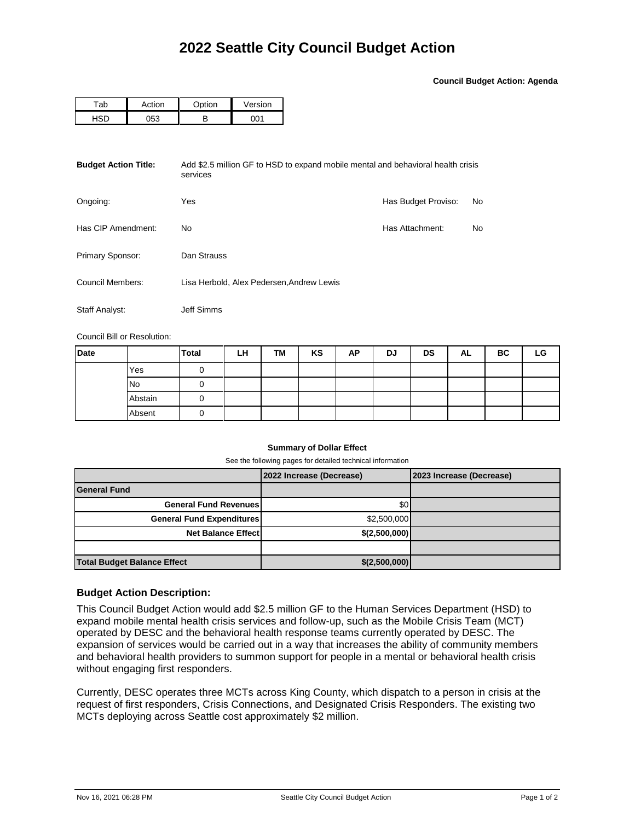**Council Budget Action: Agenda**

| -ab | ction) | $\sim$ tion | Version |  |  |
|-----|--------|-------------|---------|--|--|
|     | 152    | D           | ∗∩ר     |  |  |

| <b>Budget Action Title:</b><br>Add \$2.5 million GF to HSD to expand mobile mental and behavioral health crisis<br>services |                                           |                     |    |  |  |  |  |
|-----------------------------------------------------------------------------------------------------------------------------|-------------------------------------------|---------------------|----|--|--|--|--|
| Ongoing:                                                                                                                    | Yes                                       | Has Budget Proviso: | No |  |  |  |  |
| Has CIP Amendment:                                                                                                          | No.                                       | Has Attachment:     | No |  |  |  |  |
| Primary Sponsor:                                                                                                            | Dan Strauss                               |                     |    |  |  |  |  |
| Council Members:                                                                                                            | Lisa Herbold, Alex Pedersen, Andrew Lewis |                     |    |  |  |  |  |
| Staff Analyst:                                                                                                              | Jeff Simms                                |                     |    |  |  |  |  |

Council Bill or Resolution:

| Date |         | <b>Total</b> | LH | TM | KS | AP | DJ | <b>DS</b> | AL | BC | LG |
|------|---------|--------------|----|----|----|----|----|-----------|----|----|----|
|      | Yes     |              |    |    |    |    |    |           |    |    |    |
|      | No      |              |    |    |    |    |    |           |    |    |    |
|      | Abstain |              |    |    |    |    |    |           |    |    |    |
|      | Absent  |              |    |    |    |    |    |           |    |    |    |

## **Summary of Dollar Effect**

See the following pages for detailed technical information

|                                    | 2022 Increase (Decrease) | 2023 Increase (Decrease) |
|------------------------------------|--------------------------|--------------------------|
| <b>General Fund</b>                |                          |                          |
| <b>General Fund Revenues</b>       | \$0                      |                          |
| <b>General Fund Expenditures</b>   | \$2,500,000              |                          |
| <b>Net Balance Effect</b>          | \$(2,500,000)            |                          |
|                                    |                          |                          |
| <b>Total Budget Balance Effect</b> | \$(2,500,000)            |                          |

## **Budget Action Description:**

This Council Budget Action would add \$2.5 million GF to the Human Services Department (HSD) to expand mobile mental health crisis services and follow-up, such as the Mobile Crisis Team (MCT) operated by DESC and the behavioral health response teams currently operated by DESC. The expansion of services would be carried out in a way that increases the ability of community members and behavioral health providers to summon support for people in a mental or behavioral health crisis without engaging first responders.

Currently, DESC operates three MCTs across King County, which dispatch to a person in crisis at the request of first responders, Crisis Connections, and Designated Crisis Responders. The existing two MCTs deploying across Seattle cost approximately \$2 million.